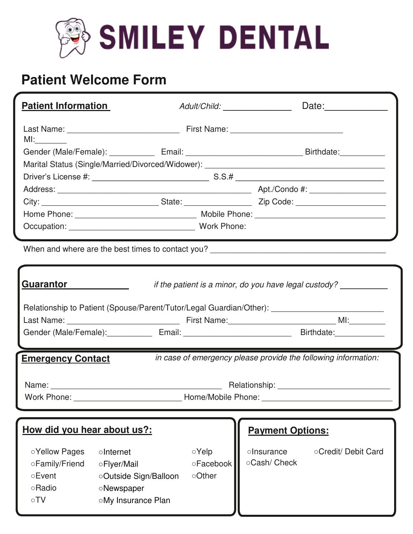

# **Patient Welcome Form**

| <b>Patient Information</b>                                                                                                                                                       |                                                                                                            | Adult/Child: _________________                    |                           |                     |
|----------------------------------------------------------------------------------------------------------------------------------------------------------------------------------|------------------------------------------------------------------------------------------------------------|---------------------------------------------------|---------------------------|---------------------|
|                                                                                                                                                                                  |                                                                                                            |                                                   |                           |                     |
| $M!$ :                                                                                                                                                                           |                                                                                                            |                                                   |                           |                     |
|                                                                                                                                                                                  | Gender (Male/Female): _________________Email: __________________________________Birthdate: _______________ |                                                   |                           |                     |
|                                                                                                                                                                                  |                                                                                                            |                                                   |                           |                     |
|                                                                                                                                                                                  |                                                                                                            |                                                   |                           |                     |
|                                                                                                                                                                                  |                                                                                                            |                                                   |                           |                     |
|                                                                                                                                                                                  |                                                                                                            |                                                   |                           |                     |
|                                                                                                                                                                                  |                                                                                                            |                                                   |                           |                     |
|                                                                                                                                                                                  |                                                                                                            |                                                   |                           |                     |
|                                                                                                                                                                                  | When and where are the best times to contact you? _______________________________                          |                                                   |                           |                     |
| <b>Guarantor</b><br>if the patient is a minor, do you have legal custody?<br>Relationship to Patient (Spouse/Parent/Tutor/Legal Guardian/Other): _______________________________ |                                                                                                            |                                                   |                           |                     |
|                                                                                                                                                                                  | Gender (Male/Female): Fmail: Finall: Finall: Finall: Research Point Point Birthdate:                       |                                                   |                           |                     |
|                                                                                                                                                                                  |                                                                                                            |                                                   |                           |                     |
| in case of emergency please provide the following information:<br><b>Emergency Contact</b>                                                                                       |                                                                                                            |                                                   |                           |                     |
|                                                                                                                                                                                  |                                                                                                            |                                                   |                           |                     |
| How did you hear about us?:<br><b>Payment Options:</b>                                                                                                                           |                                                                                                            |                                                   |                           |                     |
| ○Yellow Pages<br>oFamily/Friend<br>○Event<br><b>Radio</b><br>$\circ TV$                                                                                                          | oInternet<br>○Flyer/Mail<br>oOutside Sign/Balloon<br><b>ONewspaper</b><br>oMy Insurance Plan               | $\circ$ Yelp<br><b>PFacebook</b><br><b>oOther</b> | olnsurance<br>oCash/Check | ○Credit/ Debit Card |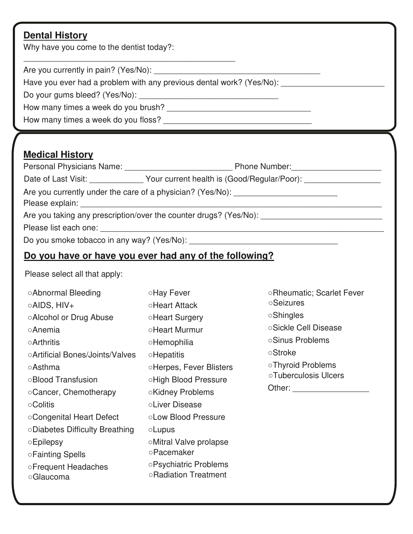# **Dental History**

Why have you come to the dentist today?:

Are you currently in pain? (Yes/No):

Have you ever had a problem with any previous dental work? (Yes/No): \_\_\_\_\_\_\_\_\_\_\_

\_\_\_\_\_\_\_\_\_\_\_\_\_\_\_\_\_\_\_\_\_\_\_\_\_\_\_\_\_\_\_\_\_\_\_\_\_\_\_\_\_\_\_\_\_\_\_

Do your gums bleed? (Yes/No): \_\_\_\_\_\_\_\_\_\_\_\_\_\_\_\_\_\_\_\_\_\_\_\_\_\_\_\_\_\_\_

How many times a week do you brush? \_\_\_\_\_\_\_\_\_\_\_\_\_\_\_\_\_\_\_\_\_\_\_\_\_\_\_\_\_\_\_\_

How many times a week do you floss?

### **Medical History**

| Personal Physicians Name:                                  | <b>Phone Number:</b>                        |  |
|------------------------------------------------------------|---------------------------------------------|--|
| Date of Last Visit:                                        | Your current health is (Good/Regular/Poor): |  |
| Are you currently under the care of a physician? (Yes/No): |                                             |  |

Please explain: **Example 2018** 

Are you taking any prescription/over the counter drugs? (Yes/No):

Please list each one: \_\_\_\_\_\_\_\_\_\_\_\_\_\_\_\_\_\_\_\_\_\_\_\_\_\_\_\_\_\_\_\_\_\_\_\_\_\_\_\_\_\_\_\_\_\_\_\_\_\_\_\_\_\_\_\_\_\_\_\_\_\_\_

Do you smoke tobacco in any way? (Yes/No): \_\_\_\_\_\_\_\_\_\_\_\_\_\_\_\_\_\_\_\_\_\_\_\_\_\_\_\_\_\_\_\_\_

# **Do you have or have you ever had any of the following?**

Please select all that apply:

| ○Abnormal Bleeding              | ○Hay Fever                     | ○Rheumatic; Scarlet Fever   |  |
|---------------------------------|--------------------------------|-----------------------------|--|
| ○AIDS, HIV+                     | ○Heart Attack                  | <b>Seizures</b>             |  |
| ○Alcohol or Drug Abuse          | <b>Heart Surgery</b>           | <b>Shingles</b>             |  |
| <b>OAnemia</b>                  | oHeart Murmur                  | ○Sickle Cell Disease        |  |
| <b>Arthritis</b>                | <b>Hemophilia</b>              | ○Sinus Problems             |  |
| ○Artificial Bones/Joints/Valves | <b>Hepatitis</b>               | <b>Stroke</b>               |  |
| ○Asthma                         | <b>OHerpes, Fever Blisters</b> | ○Thyroid Problems           |  |
| ○Blood Transfusion              | ○High Blood Pressure           | <b>OTuberculosis Ulcers</b> |  |
| ○ Cancer, Chemotherapy          | ○Kidney Problems               | Other: The Controller       |  |
| ○Colitis                        | oLiver Disease                 |                             |  |
| ○Congenital Heart Defect        | <b>OLow Blood Pressure</b>     |                             |  |
| ○Diabetes Difficulty Breathing  | $\circ$ Lupus                  |                             |  |
| $\circ$ Epilepsy                | oMitral Valve prolapse         |                             |  |
| ○Fainting Spells                | <b>Pacemaker</b>               |                             |  |
| ○Frequent Headaches             | ○Psychiatric Problems          |                             |  |
| ○ Glaucoma                      | ○Radiation Treatment           |                             |  |
|                                 |                                |                             |  |